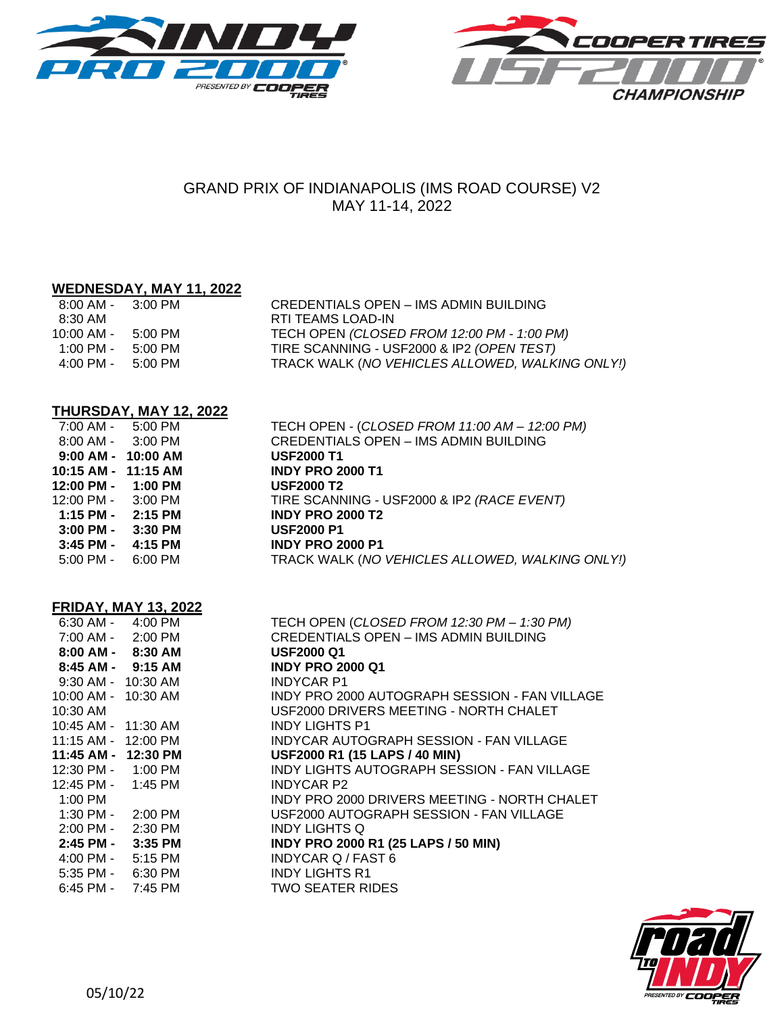



# GRAND PRIX OF INDIANAPOLIS (IMS ROAD COURSE) V2 MAY 11-14, 2022

 7:00 AM - 5:00 PM TECH OPEN - (*CLOSED FROM 11:00 AM – 12:00 PM)* CREDENTIALS OPEN - IMS ADMIN BUILDING

# **WEDNESDAY, MAY 11, 2022**

| $8:00$ AM - $3:00$ PM               |         | CREDENTIALS OPEN - IMS ADMIN BUILDING           |
|-------------------------------------|---------|-------------------------------------------------|
| 8:30 AM                             |         | RTI TEAMS LOAD-IN                               |
| 10:00 AM -                          | 5:00 PM | TECH OPEN (CLOSED FROM 12:00 PM - 1:00 PM)      |
| 1:00 PM -                           | 5:00 PM | TIRE SCANNING - USF2000 & IP2 (OPEN TEST)       |
| $4:00 \text{ PM} - 5:00 \text{ PM}$ |         | TRACK WALK (NO VEHICLES ALLOWED, WALKING ONLY!) |

### **THURSDAY, MAY 12, 2022**

| 7:00 AM - 5:00 PM                    |           | TECH OPEN - (CLOSED FROM 11:00 AM – 12:00 PM)   |
|--------------------------------------|-----------|-------------------------------------------------|
| 8:00 AM - 3:00 PM                    |           | <b>CREDENTIALS OPEN - IMS ADMIN BUILDING</b>    |
| 9:00 AM - 10:00 AM                   |           | <b>USF2000 T1</b>                               |
| 10:15 AM - 11:15 AM                  |           | <b>INDY PRO 2000 T1</b>                         |
| $12:00 \text{ PM} - 1:00 \text{ PM}$ |           | <b>USF2000 T2</b>                               |
| $12:00 \text{ PM} - 3:00 \text{ PM}$ |           | TIRE SCANNING - USF2000 & IP2 (RACE EVENT)      |
| 1:15 PM - 2:15 PM                    |           | <b>INDY PRO 2000 T2</b>                         |
| 3:00 PM -                            | $3:30$ PM | <b>USF2000 P1</b>                               |
| 3:45 PM -                            | 4:15 PM   | <b>INDY PRO 2000 P1</b>                         |
| $5:00 \text{ PM} - 6:00 \text{ PM}$  |           | TRACK WALK (NO VEHICLES ALLOWED, WALKING ONLY!) |

| <b>FRIDAY, MAY 13, 2022</b> |  |  |
|-----------------------------|--|--|
|                             |  |  |

|                       | . .\;p/\; .v;/\; .v; evee |                                               |
|-----------------------|---------------------------|-----------------------------------------------|
|                       | 6:30 AM - 4:00 PM         | TECH OPEN (CLOSED FROM 12:30 PM - 1:30 PM)    |
|                       | 7:00 AM - 2:00 PM         | <b>CREDENTIALS OPEN - IMS ADMIN BUILDING</b>  |
|                       | 8:00 AM - 8:30 AM         | <b>USF2000 Q1</b>                             |
|                       | 8:45 AM - 9:15 AM         | <b>INDY PRO 2000 Q1</b>                       |
| 9:30 AM - 10:30 AM    |                           | <b>INDYCAR P1</b>                             |
| 10:00 AM - 10:30 AM   |                           | INDY PRO 2000 AUTOGRAPH SESSION - FAN VILLAGE |
| 10:30 AM              |                           | USF2000 DRIVERS MEETING - NORTH CHALET        |
| 10:45 AM - 11:30 AM   |                           | <b>INDY LIGHTS P1</b>                         |
| 11:15 AM - 12:00 PM   |                           | INDYCAR AUTOGRAPH SESSION - FAN VILLAGE       |
| 11:45 AM - 12:30 PM   |                           | USF2000 R1 (15 LAPS / 40 MIN)                 |
|                       | 12:30 PM - 1:00 PM        | INDY LIGHTS AUTOGRAPH SESSION - FAN VILLAGE   |
| 12:45 PM - 1:45 PM    |                           | <b>INDYCAR P2</b>                             |
| 1:00 PM               |                           | INDY PRO 2000 DRIVERS MEETING - NORTH CHALET  |
|                       | 1:30 PM - 2:00 PM         | USF2000 AUTOGRAPH SESSION - FAN VILLAGE       |
|                       | 2:00 PM - 2:30 PM         | <b>INDY LIGHTS Q</b>                          |
|                       | 2:45 PM - 3:35 PM         | <b>INDY PRO 2000 R1 (25 LAPS / 50 MIN)</b>    |
|                       | 4:00 PM - 5:15 PM         | <b>INDYCAR Q / FAST 6</b>                     |
| $5:35$ PM - $6:30$ PM |                           | <b>INDY LIGHTS R1</b>                         |
| $6:45$ PM - 7:45 PM   |                           | <b>TWO SEATER RIDES</b>                       |
|                       |                           |                                               |